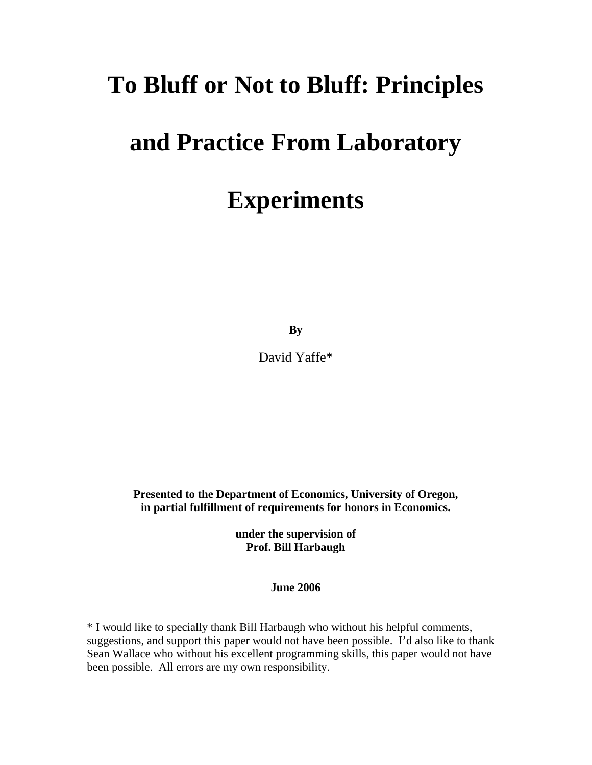## **To Bluff or Not to Bluff: Principles**

## **and Practice From Laboratory**

# **Experiments**

**By** 

David Yaffe\*

**Presented to the Department of Economics, University of Oregon, in partial fulfillment of requirements for honors in Economics.** 

> **under the supervision of Prof. Bill Harbaugh**

> > **June 2006**

\* I would like to specially thank Bill Harbaugh who without his helpful comments, suggestions, and support this paper would not have been possible. I'd also like to thank Sean Wallace who without his excellent programming skills, this paper would not have been possible. All errors are my own responsibility.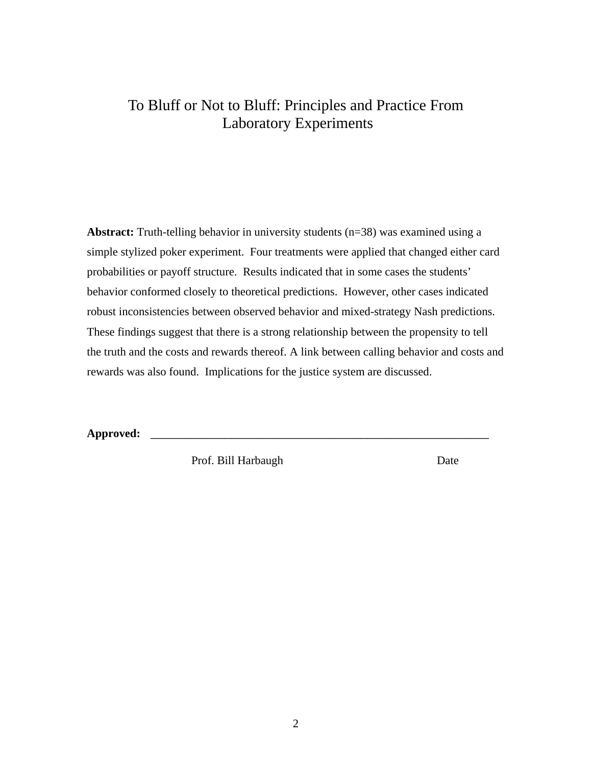### To Bluff or Not to Bluff: Principles and Practice From Laboratory Experiments

**Abstract:** Truth-telling behavior in university students (n=38) was examined using a simple stylized poker experiment. Four treatments were applied that changed either card probabilities or payoff structure. Results indicated that in some cases the students' behavior conformed closely to theoretical predictions. However, other cases indicated robust inconsistencies between observed behavior and mixed-strategy Nash predictions. These findings suggest that there is a strong relationship between the propensity to tell the truth and the costs and rewards thereof. A link between calling behavior and costs and rewards was also found. Implications for the justice system are discussed.

**Approved:** \_\_\_\_\_\_\_\_\_\_\_\_\_\_\_\_\_\_\_\_\_\_\_\_\_\_\_\_\_\_\_\_\_\_\_\_\_\_\_\_\_\_\_\_\_\_\_\_\_\_

Prof. Bill Harbaugh Date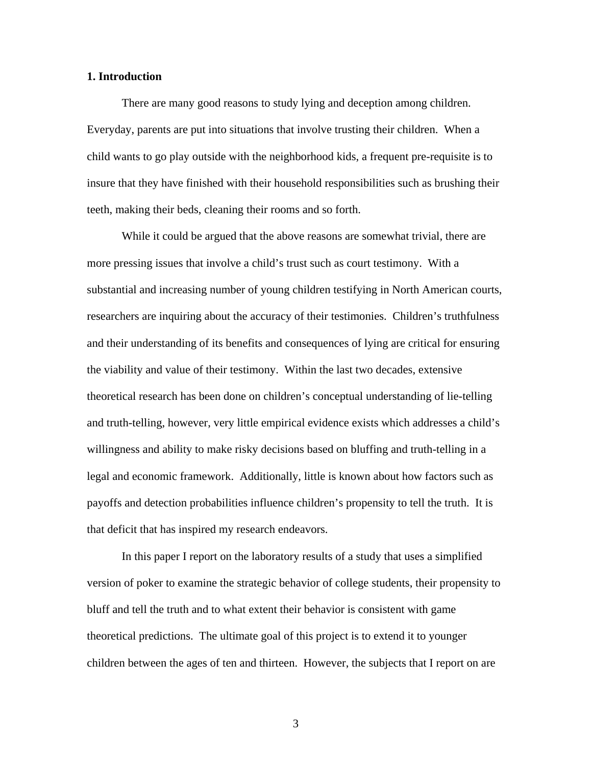#### **1. Introduction**

There are many good reasons to study lying and deception among children. Everyday, parents are put into situations that involve trusting their children. When a child wants to go play outside with the neighborhood kids, a frequent pre-requisite is to insure that they have finished with their household responsibilities such as brushing their teeth, making their beds, cleaning their rooms and so forth.

While it could be argued that the above reasons are somewhat trivial, there are more pressing issues that involve a child's trust such as court testimony. With a substantial and increasing number of young children testifying in North American courts, researchers are inquiring about the accuracy of their testimonies. Children's truthfulness and their understanding of its benefits and consequences of lying are critical for ensuring the viability and value of their testimony. Within the last two decades, extensive theoretical research has been done on children's conceptual understanding of lie-telling and truth-telling, however, very little empirical evidence exists which addresses a child's willingness and ability to make risky decisions based on bluffing and truth-telling in a legal and economic framework. Additionally, little is known about how factors such as payoffs and detection probabilities influence children's propensity to tell the truth. It is that deficit that has inspired my research endeavors.

In this paper I report on the laboratory results of a study that uses a simplified version of poker to examine the strategic behavior of college students, their propensity to bluff and tell the truth and to what extent their behavior is consistent with game theoretical predictions. The ultimate goal of this project is to extend it to younger children between the ages of ten and thirteen. However, the subjects that I report on are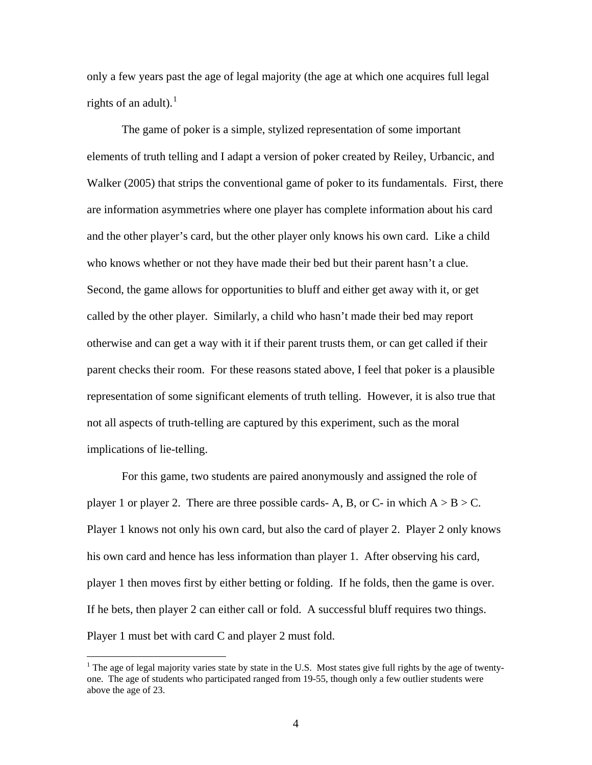only a few years past the age of legal majority (the age at which one acquires full legal rights of an adult). $<sup>1</sup>$  $<sup>1</sup>$  $<sup>1</sup>$ </sup>

The game of poker is a simple, stylized representation of some important elements of truth telling and I adapt a version of poker created by Reiley, Urbancic, and Walker (2005) that strips the conventional game of poker to its fundamentals. First, there are information asymmetries where one player has complete information about his card and the other player's card, but the other player only knows his own card. Like a child who knows whether or not they have made their bed but their parent hasn't a clue. Second, the game allows for opportunities to bluff and either get away with it, or get called by the other player. Similarly, a child who hasn't made their bed may report otherwise and can get a way with it if their parent trusts them, or can get called if their parent checks their room. For these reasons stated above, I feel that poker is a plausible representation of some significant elements of truth telling. However, it is also true that not all aspects of truth-telling are captured by this experiment, such as the moral implications of lie-telling.

For this game, two students are paired anonymously and assigned the role of player 1 or player 2. There are three possible cards- A, B, or C- in which  $A > B > C$ . Player 1 knows not only his own card, but also the card of player 2. Player 2 only knows his own card and hence has less information than player 1. After observing his card, player 1 then moves first by either betting or folding. If he folds, then the game is over. If he bets, then player 2 can either call or fold. A successful bluff requires two things. Player 1 must bet with card C and player 2 must fold.

 $\overline{a}$ 

<span id="page-3-0"></span><sup>&</sup>lt;sup>1</sup> The age of legal majority varies state by state in the U.S. Most states give full rights by the age of twentyone. The age of students who participated ranged from 19-55, though only a few outlier students were above the age of 23.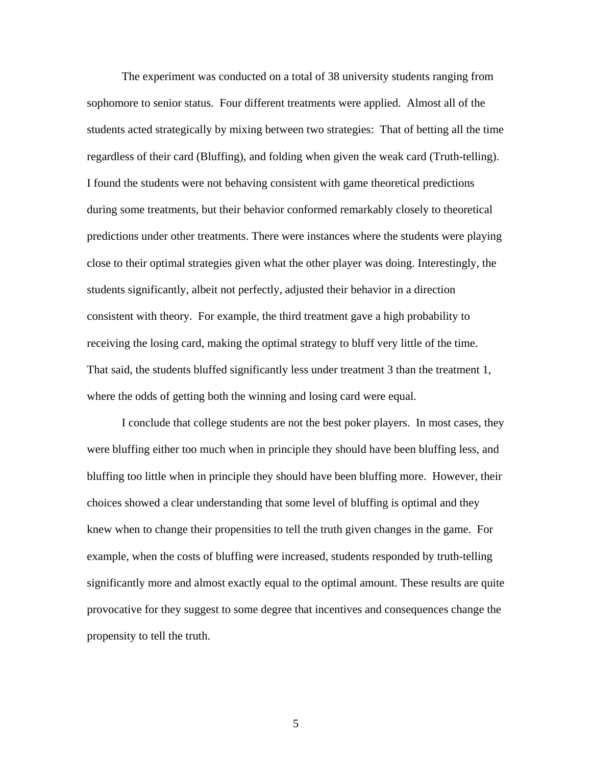The experiment was conducted on a total of 38 university students ranging from sophomore to senior status. Four different treatments were applied. Almost all of the students acted strategically by mixing between two strategies: That of betting all the time regardless of their card (Bluffing), and folding when given the weak card (Truth-telling). I found the students were not behaving consistent with game theoretical predictions during some treatments, but their behavior conformed remarkably closely to theoretical predictions under other treatments. There were instances where the students were playing close to their optimal strategies given what the other player was doing. Interestingly, the students significantly, albeit not perfectly, adjusted their behavior in a direction consistent with theory. For example, the third treatment gave a high probability to receiving the losing card, making the optimal strategy to bluff very little of the time. That said, the students bluffed significantly less under treatment 3 than the treatment 1, where the odds of getting both the winning and losing card were equal.

 I conclude that college students are not the best poker players. In most cases, they were bluffing either too much when in principle they should have been bluffing less, and bluffing too little when in principle they should have been bluffing more. However, their choices showed a clear understanding that some level of bluffing is optimal and they knew when to change their propensities to tell the truth given changes in the game. For example, when the costs of bluffing were increased, students responded by truth-telling significantly more and almost exactly equal to the optimal amount. These results are quite provocative for they suggest to some degree that incentives and consequences change the propensity to tell the truth.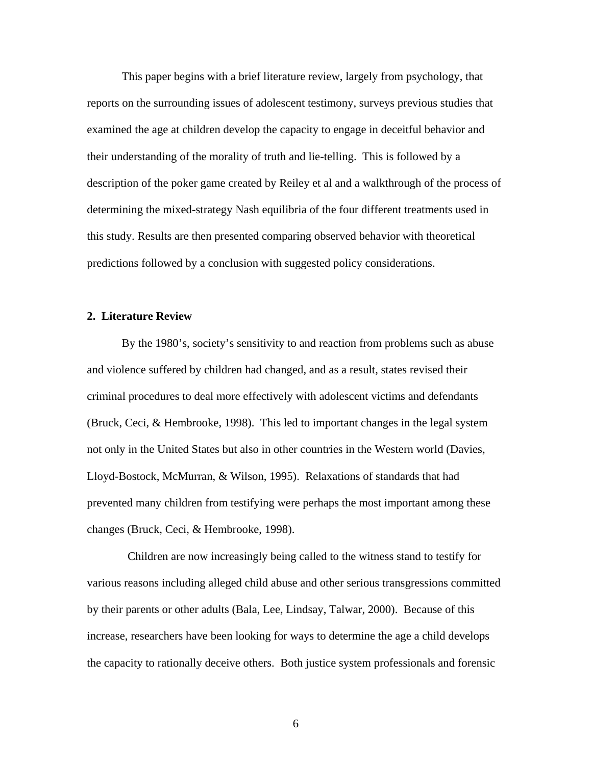This paper begins with a brief literature review, largely from psychology, that reports on the surrounding issues of adolescent testimony, surveys previous studies that examined the age at children develop the capacity to engage in deceitful behavior and their understanding of the morality of truth and lie-telling. This is followed by a description of the poker game created by Reiley et al and a walkthrough of the process of determining the mixed-strategy Nash equilibria of the four different treatments used in this study. Results are then presented comparing observed behavior with theoretical predictions followed by a conclusion with suggested policy considerations.

#### **2. Literature Review**

By the 1980's, society's sensitivity to and reaction from problems such as abuse and violence suffered by children had changed, and as a result, states revised their criminal procedures to deal more effectively with adolescent victims and defendants (Bruck, Ceci, & Hembrooke, 1998). This led to important changes in the legal system not only in the United States but also in other countries in the Western world (Davies, Lloyd-Bostock, McMurran, & Wilson, 1995). Relaxations of standards that had prevented many children from testifying were perhaps the most important among these changes (Bruck, Ceci, & Hembrooke, 1998).

 Children are now increasingly being called to the witness stand to testify for various reasons including alleged child abuse and other serious transgressions committed by their parents or other adults (Bala, Lee, Lindsay, Talwar, 2000). Because of this increase, researchers have been looking for ways to determine the age a child develops the capacity to rationally deceive others. Both justice system professionals and forensic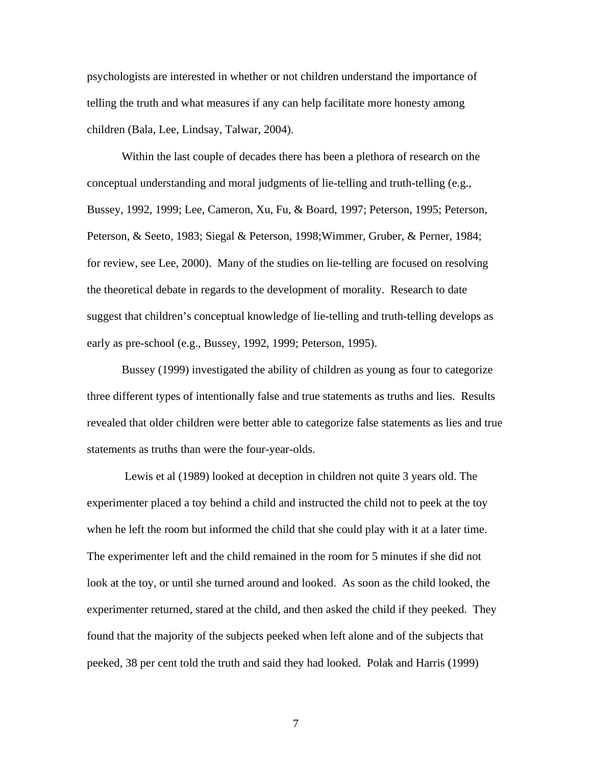psychologists are interested in whether or not children understand the importance of telling the truth and what measures if any can help facilitate more honesty among children (Bala, Lee, Lindsay, Talwar, 2004).

Within the last couple of decades there has been a plethora of research on the conceptual understanding and moral judgments of lie-telling and truth-telling (e.g., Bussey, 1992, 1999; Lee, Cameron, Xu, Fu, & Board, 1997; Peterson, 1995; Peterson, Peterson, & Seeto, 1983; Siegal & Peterson, 1998;Wimmer, Gruber, & Perner, 1984; for review, see Lee, 2000). Many of the studies on lie-telling are focused on resolving the theoretical debate in regards to the development of morality. Research to date suggest that children's conceptual knowledge of lie-telling and truth-telling develops as early as pre-school (e.g., Bussey, 1992, 1999; Peterson, 1995).

Bussey (1999) investigated the ability of children as young as four to categorize three different types of intentionally false and true statements as truths and lies. Results revealed that older children were better able to categorize false statements as lies and true statements as truths than were the four-year-olds.

 Lewis et al (1989) looked at deception in children not quite 3 years old. The experimenter placed a toy behind a child and instructed the child not to peek at the toy when he left the room but informed the child that she could play with it at a later time. The experimenter left and the child remained in the room for 5 minutes if she did not look at the toy, or until she turned around and looked. As soon as the child looked, the experimenter returned, stared at the child, and then asked the child if they peeked. They found that the majority of the subjects peeked when left alone and of the subjects that peeked, 38 per cent told the truth and said they had looked. Polak and Harris (1999)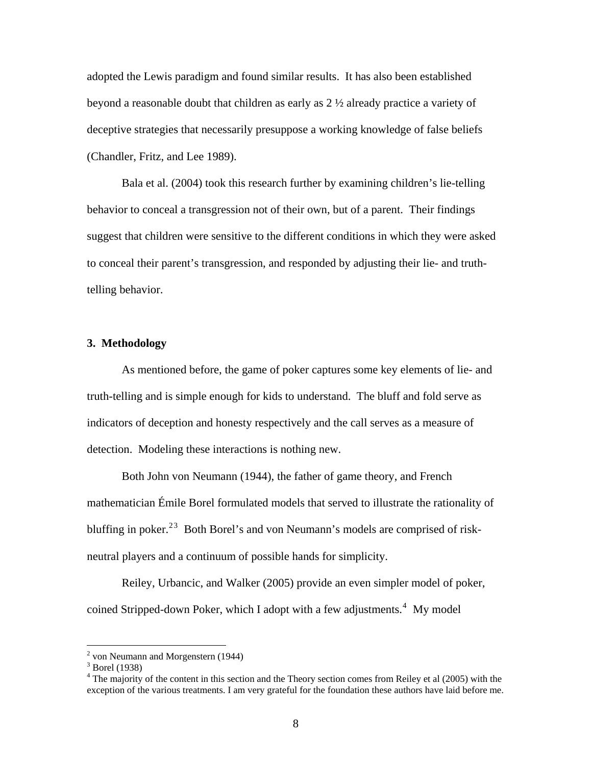adopted the Lewis paradigm and found similar results. It has also been established beyond a reasonable doubt that children as early as 2 ½ already practice a variety of deceptive strategies that necessarily presuppose a working knowledge of false beliefs (Chandler, Fritz, and Lee 1989).

Bala et al. (2004) took this research further by examining children's lie-telling behavior to conceal a transgression not of their own, but of a parent. Their findings suggest that children were sensitive to the different conditions in which they were asked to conceal their parent's transgression, and responded by adjusting their lie- and truthtelling behavior.

#### **3. Methodology**

As mentioned before, the game of poker captures some key elements of lie- and truth-telling and is simple enough for kids to understand. The bluff and fold serve as indicators of deception and honesty respectively and the call serves as a measure of detection. Modeling these interactions is nothing new.

Both John von Neumann (1944), the father of game theory, and French mathematician Émile Borel formulated models that served to illustrate the rationality of bluffing in poker.<sup>[2](#page-7-0)[3](#page-7-1)</sup> Both Borel's and von Neumann's models are comprised of riskneutral players and a continuum of possible hands for simplicity.

Reiley, Urbancic, and Walker (2005) provide an even simpler model of poker, coined Stripped-down Poker, which I adopt with a few adjustments.<sup>[4](#page-7-2)</sup> My model

<sup>&</sup>lt;sup>2</sup> von Neumann and Morgenstern (1944)

<span id="page-7-1"></span><span id="page-7-0"></span><sup>&</sup>lt;sup>3</sup> Borel (1938)

<span id="page-7-2"></span><sup>&</sup>lt;sup>4</sup> The majority of the content in this section and the Theory section comes from Reiley et al (2005) with the exception of the various treatments. I am very grateful for the foundation these authors have laid before me.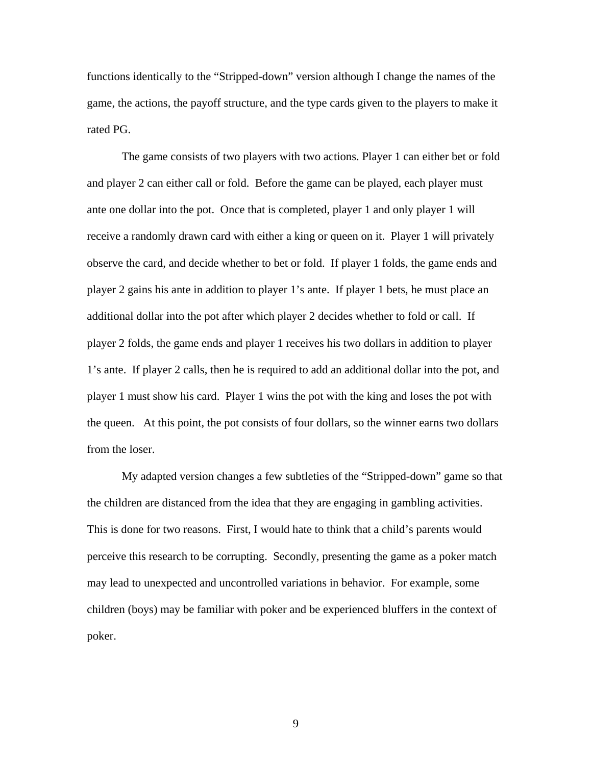functions identically to the "Stripped-down" version although I change the names of the game, the actions, the payoff structure, and the type cards given to the players to make it rated PG.

The game consists of two players with two actions. Player 1 can either bet or fold and player 2 can either call or fold. Before the game can be played, each player must ante one dollar into the pot. Once that is completed, player 1 and only player 1 will receive a randomly drawn card with either a king or queen on it. Player 1 will privately observe the card, and decide whether to bet or fold. If player 1 folds, the game ends and player 2 gains his ante in addition to player 1's ante. If player 1 bets, he must place an additional dollar into the pot after which player 2 decides whether to fold or call. If player 2 folds, the game ends and player 1 receives his two dollars in addition to player 1's ante. If player 2 calls, then he is required to add an additional dollar into the pot, and player 1 must show his card. Player 1 wins the pot with the king and loses the pot with the queen. At this point, the pot consists of four dollars, so the winner earns two dollars from the loser.

My adapted version changes a few subtleties of the "Stripped-down" game so that the children are distanced from the idea that they are engaging in gambling activities. This is done for two reasons. First, I would hate to think that a child's parents would perceive this research to be corrupting. Secondly, presenting the game as a poker match may lead to unexpected and uncontrolled variations in behavior. For example, some children (boys) may be familiar with poker and be experienced bluffers in the context of poker.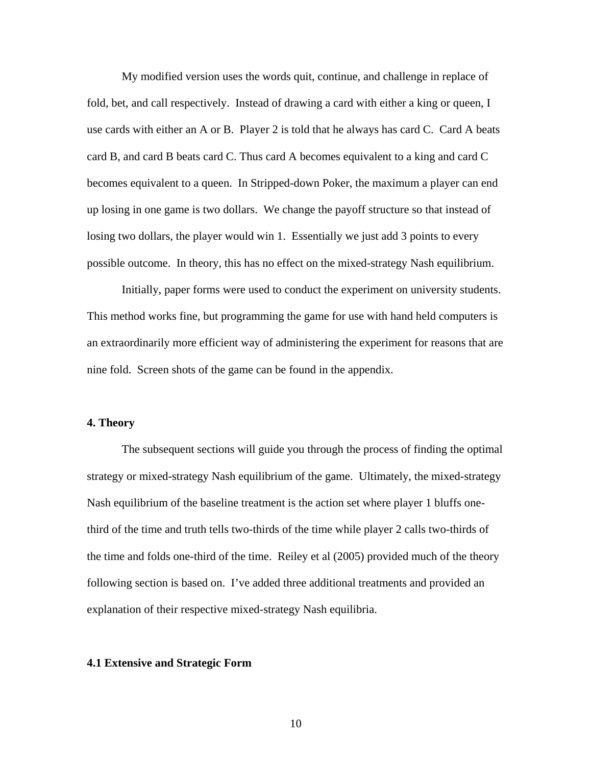My modified version uses the words quit, continue, and challenge in replace of fold, bet, and call respectively. Instead of drawing a card with either a king or queen, I use cards with either an A or B. Player 2 is told that he always has card C. Card A beats card B, and card B beats card C. Thus card A becomes equivalent to a king and card C becomes equivalent to a queen. In Stripped-down Poker, the maximum a player can end up losing in one game is two dollars. We change the payoff structure so that instead of losing two dollars, the player would win 1. Essentially we just add 3 points to every possible outcome. In theory, this has no effect on the mixed-strategy Nash equilibrium.

Initially, paper forms were used to conduct the experiment on university students. This method works fine, but programming the game for use with hand held computers is an extraordinarily more efficient way of administering the experiment for reasons that are nine fold. Screen shots of the game can be found in the appendix.

#### **4. Theory**

The subsequent sections will guide you through the process of finding the optimal strategy or mixed-strategy Nash equilibrium of the game. Ultimately, the mixed-strategy Nash equilibrium of the baseline treatment is the action set where player 1 bluffs onethird of the time and truth tells two-thirds of the time while player 2 calls two-thirds of the time and folds one-third of the time. Reiley et al (2005) provided much of the theory following section is based on. I've added three additional treatments and provided an explanation of their respective mixed-strategy Nash equilibria.

#### **4.1 Extensive and Strategic Form**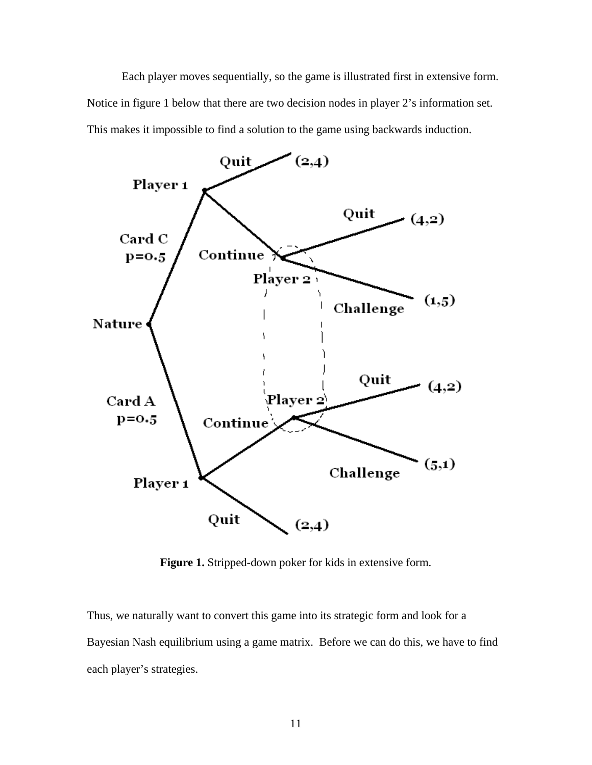Each player moves sequentially, so the game is illustrated first in extensive form. Notice in figure 1 below that there are two decision nodes in player 2's information set. This makes it impossible to find a solution to the game using backwards induction.



**Figure 1.** Stripped-down poker for kids in extensive form.

Thus, we naturally want to convert this game into its strategic form and look for a Bayesian Nash equilibrium using a game matrix. Before we can do this, we have to find each player's strategies.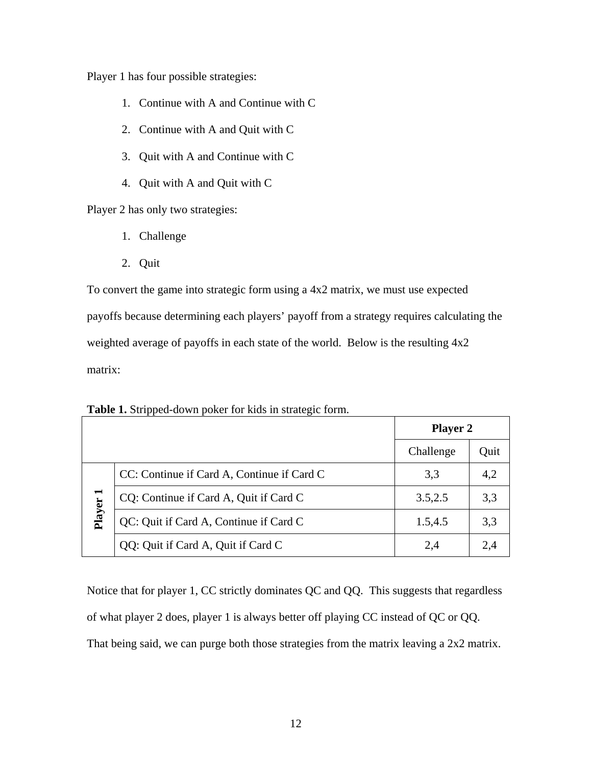Player 1 has four possible strategies:

- 1. Continue with A and Continue with C
- 2. Continue with A and Quit with C
- 3. Quit with A and Continue with C
- 4. Quit with A and Quit with C

Player 2 has only two strategies:

- 1. Challenge
- 2. Quit

To convert the game into strategic form using a 4x2 matrix, we must use expected payoffs because determining each players' payoff from a strategy requires calculating the weighted average of payoffs in each state of the world. Below is the resulting 4x2 matrix:

|                |                                            | <b>Player 2</b> |      |
|----------------|--------------------------------------------|-----------------|------|
|                |                                            | Challenge       | Quit |
|                | CC: Continue if Card A, Continue if Card C | 3,3             | 4,2  |
| $\blacksquare$ | CQ: Continue if Card A, Quit if Card C     | 3.5,2.5         | 3,3  |
| Player         | QC: Quit if Card A, Continue if Card C     | 1.5,4.5         | 3,3  |
|                | QQ: Quit if Card A, Quit if Card C         | 2.4             | 2.4  |

**Table 1.** Stripped-down poker for kids in strategic form.

Notice that for player 1, CC strictly dominates QC and QQ. This suggests that regardless of what player 2 does, player 1 is always better off playing CC instead of QC or QQ. That being said, we can purge both those strategies from the matrix leaving a 2x2 matrix.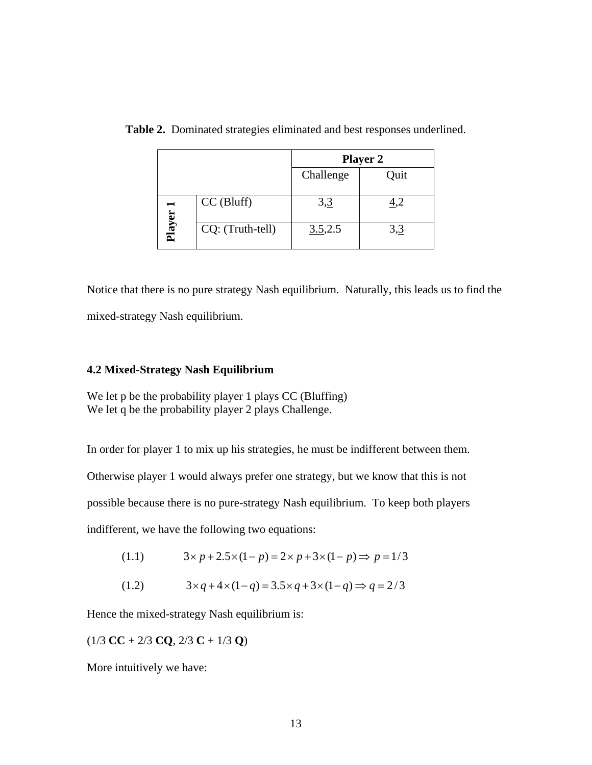|      |                  | <b>Player 2</b> |      |
|------|------------------|-----------------|------|
|      |                  | Challenge       | Quit |
| ධ    | $CC$ (Bluff)     | 3,3             |      |
| Play | CQ: (Truth-tell) | 3.5,2.5         | 3,3  |

**Table 2.** Dominated strategies eliminated and best responses underlined.

Notice that there is no pure strategy Nash equilibrium. Naturally, this leads us to find the mixed-strategy Nash equilibrium.

#### **4.2 Mixed-Strategy Nash Equilibrium**

We let p be the probability player 1 plays CC (Bluffing) We let q be the probability player 2 plays Challenge.

In order for player 1 to mix up his strategies, he must be indifferent between them.

Otherwise player 1 would always prefer one strategy, but we know that this is not

possible because there is no pure-strategy Nash equilibrium. To keep both players

indifferent, we have the following two equations:

- (1.1)  $3 \times p + 2.5 \times (1-p) = 2 \times p + 3 \times (1-p) \Rightarrow p = 1/3$
- (1.2)  $3 \times q + 4 \times (1 q) = 3.5 \times q + 3 \times (1 q) \Rightarrow q = 2/3$

Hence the mixed-strategy Nash equilibrium is:

$$
(1/3 \text{ CC} + 2/3 \text{ CQ}, 2/3 \text{ C} + 1/3 \text{ Q})
$$

More intuitively we have: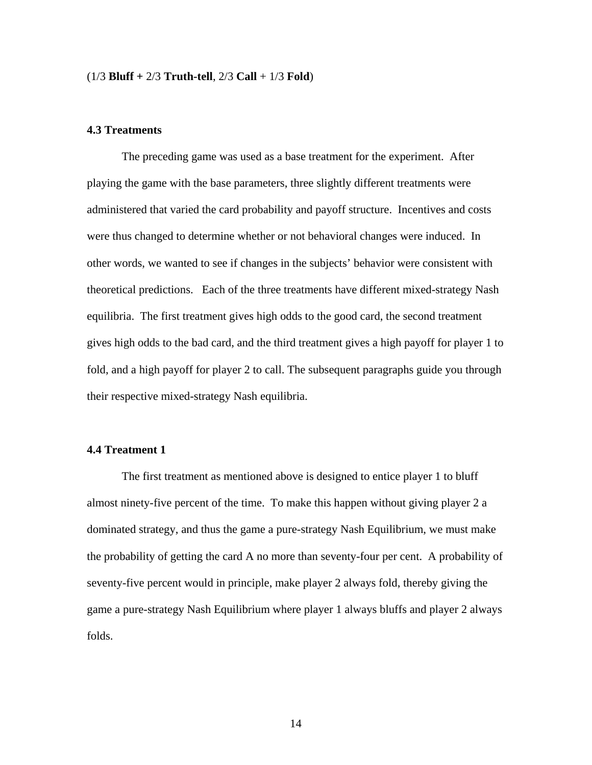#### (1/3 **Bluff +** 2/3 **Truth-tell**, 2/3 **Call** + 1/3 **Fold**)

#### **4.3 Treatments**

The preceding game was used as a base treatment for the experiment. After playing the game with the base parameters, three slightly different treatments were administered that varied the card probability and payoff structure. Incentives and costs were thus changed to determine whether or not behavioral changes were induced. In other words, we wanted to see if changes in the subjects' behavior were consistent with theoretical predictions. Each of the three treatments have different mixed-strategy Nash equilibria. The first treatment gives high odds to the good card, the second treatment gives high odds to the bad card, and the third treatment gives a high payoff for player 1 to fold, and a high payoff for player 2 to call. The subsequent paragraphs guide you through their respective mixed-strategy Nash equilibria.

#### **4.4 Treatment 1**

 The first treatment as mentioned above is designed to entice player 1 to bluff almost ninety-five percent of the time. To make this happen without giving player 2 a dominated strategy, and thus the game a pure-strategy Nash Equilibrium, we must make the probability of getting the card A no more than seventy-four per cent. A probability of seventy-five percent would in principle, make player 2 always fold, thereby giving the game a pure-strategy Nash Equilibrium where player 1 always bluffs and player 2 always folds.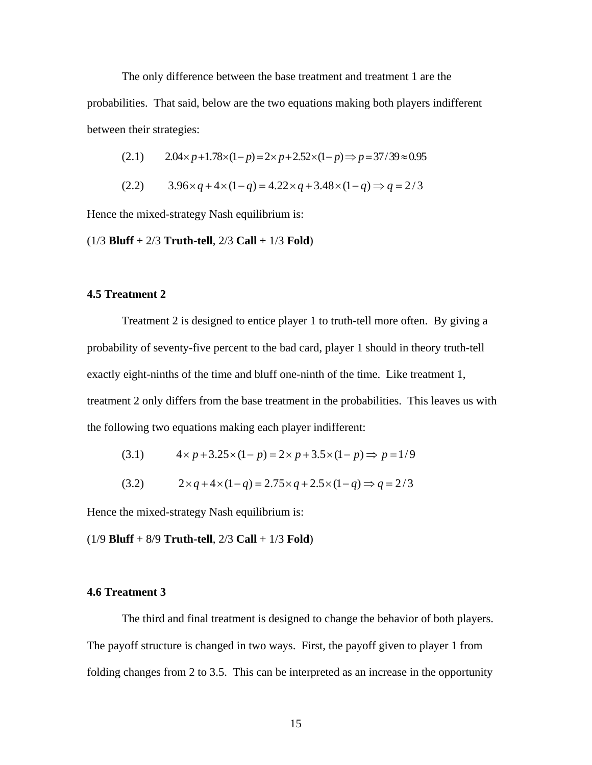The only difference between the base treatment and treatment 1 are the probabilities. That said, below are the two equations making both players indifferent between their strategies:

$$
(2.1) \qquad 2.04 \times p + 1.78 \times (1 - p) = 2 \times p + 2.52 \times (1 - p) \Rightarrow p = 37/39 \approx 0.95
$$

$$
(2.2) \qquad 3.96 \times q + 4 \times (1 - q) = 4.22 \times q + 3.48 \times (1 - q) \Rightarrow q = 2/3
$$

Hence the mixed-strategy Nash equilibrium is:

(1/3 **Bluff** + 2/3 **Truth-tell**, 2/3 **Call** + 1/3 **Fold**)

#### **4.5 Treatment 2**

 Treatment 2 is designed to entice player 1 to truth-tell more often. By giving a probability of seventy-five percent to the bad card, player 1 should in theory truth-tell exactly eight-ninths of the time and bluff one-ninth of the time. Like treatment 1, treatment 2 only differs from the base treatment in the probabilities. This leaves us with the following two equations making each player indifferent:

(3.1) 
$$
4 \times p + 3.25 \times (1-p) = 2 \times p + 3.5 \times (1-p) \Rightarrow p = 1/9
$$

$$
(3.2) \t 2 \times q + 4 \times (1 - q) = 2.75 \times q + 2.5 \times (1 - q) \Rightarrow q = 2/3
$$

Hence the mixed-strategy Nash equilibrium is:

(1/9 **Bluff** + 8/9 **Truth-tell**, 2/3 **Call** + 1/3 **Fold**)

#### **4.6 Treatment 3**

 The third and final treatment is designed to change the behavior of both players. The payoff structure is changed in two ways. First, the payoff given to player 1 from folding changes from 2 to 3.5. This can be interpreted as an increase in the opportunity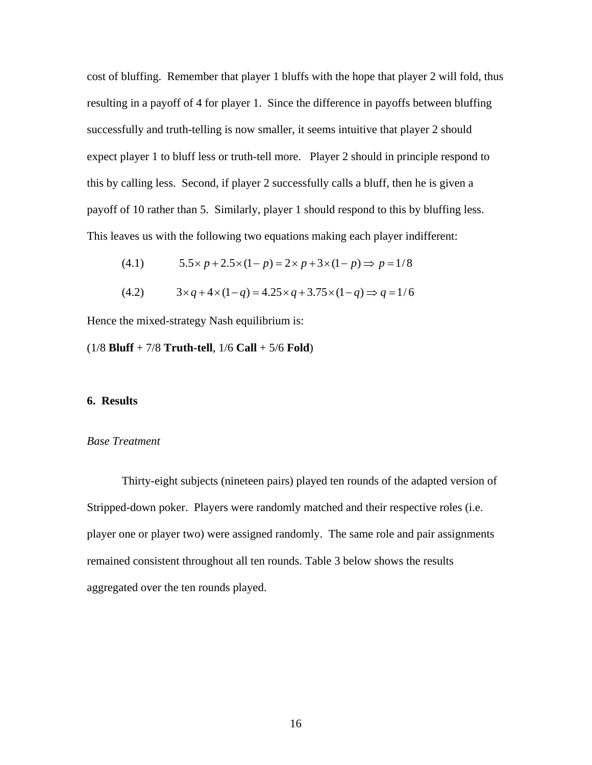cost of bluffing. Remember that player 1 bluffs with the hope that player 2 will fold, thus resulting in a payoff of 4 for player 1. Since the difference in payoffs between bluffing successfully and truth-telling is now smaller, it seems intuitive that player 2 should expect player 1 to bluff less or truth-tell more. Player 2 should in principle respond to this by calling less. Second, if player 2 successfully calls a bluff, then he is given a payoff of 10 rather than 5. Similarly, player 1 should respond to this by bluffing less. This leaves us with the following two equations making each player indifferent:

(4.1) 
$$
5.5 \times p + 2.5 \times (1-p) = 2 \times p + 3 \times (1-p) \Rightarrow p = 1/8
$$

$$
(4.2) \t 3 \times q + 4 \times (1 - q) = 4.25 \times q + 3.75 \times (1 - q) \Rightarrow q = 1/6
$$

Hence the mixed-strategy Nash equilibrium is:

(1/8 **Bluff** + 7/8 **Truth-tell**, 1/6 **Call** + 5/6 **Fold**)

#### **6. Results**

#### *Base Treatment*

Thirty-eight subjects (nineteen pairs) played ten rounds of the adapted version of Stripped-down poker. Players were randomly matched and their respective roles (i.e. player one or player two) were assigned randomly. The same role and pair assignments remained consistent throughout all ten rounds. Table 3 below shows the results aggregated over the ten rounds played.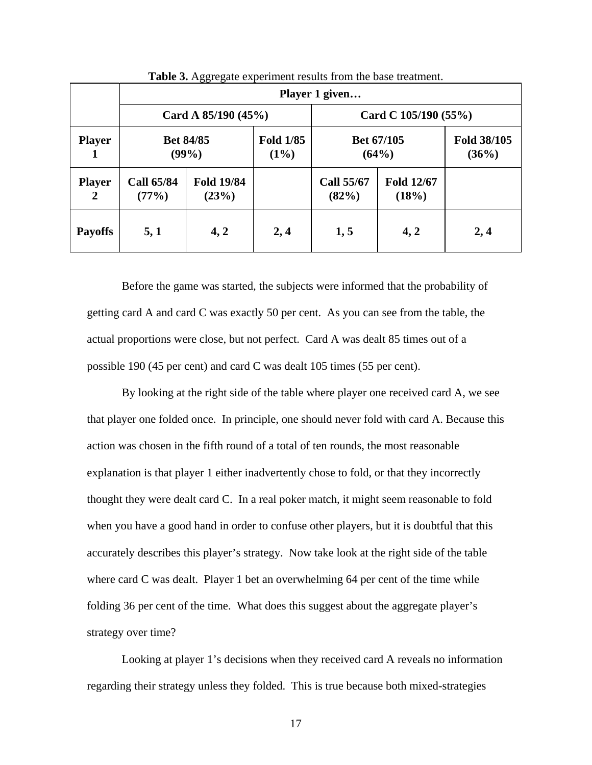|                                 |                            |                            |                                               | Player 1 given             |                            |                      |  |  |  |
|---------------------------------|----------------------------|----------------------------|-----------------------------------------------|----------------------------|----------------------------|----------------------|--|--|--|
|                                 |                            |                            | Card A $85/190(45%)$<br>Card C $105/190(55%)$ |                            |                            |                      |  |  |  |
| <b>Player</b>                   |                            | <b>Bet 84/85</b><br>(99%)  | <b>Fold 1/85</b><br>$(1\%)$                   | Bet 67/105<br>(64%)        |                            | Fold 38/105<br>(36%) |  |  |  |
| <b>Player</b><br>$\overline{2}$ | <b>Call 65/84</b><br>(77%) | <b>Fold 19/84</b><br>(23%) |                                               | <b>Call 55/67</b><br>(82%) | <b>Fold 12/67</b><br>(18%) |                      |  |  |  |
| <b>Payoffs</b>                  | 5,1                        | 4, 2                       | 2,4                                           | 1, 5                       | 4, 2                       | 2,4                  |  |  |  |

**Table 3.** Aggregate experiment results from the base treatment.

Before the game was started, the subjects were informed that the probability of getting card A and card C was exactly 50 per cent. As you can see from the table, the actual proportions were close, but not perfect. Card A was dealt 85 times out of a possible 190 (45 per cent) and card C was dealt 105 times (55 per cent).

By looking at the right side of the table where player one received card A, we see that player one folded once. In principle, one should never fold with card A. Because this action was chosen in the fifth round of a total of ten rounds, the most reasonable explanation is that player 1 either inadvertently chose to fold, or that they incorrectly thought they were dealt card C. In a real poker match, it might seem reasonable to fold when you have a good hand in order to confuse other players, but it is doubtful that this accurately describes this player's strategy. Now take look at the right side of the table where card C was dealt. Player 1 bet an overwhelming 64 per cent of the time while folding 36 per cent of the time. What does this suggest about the aggregate player's strategy over time?

Looking at player 1's decisions when they received card A reveals no information regarding their strategy unless they folded. This is true because both mixed-strategies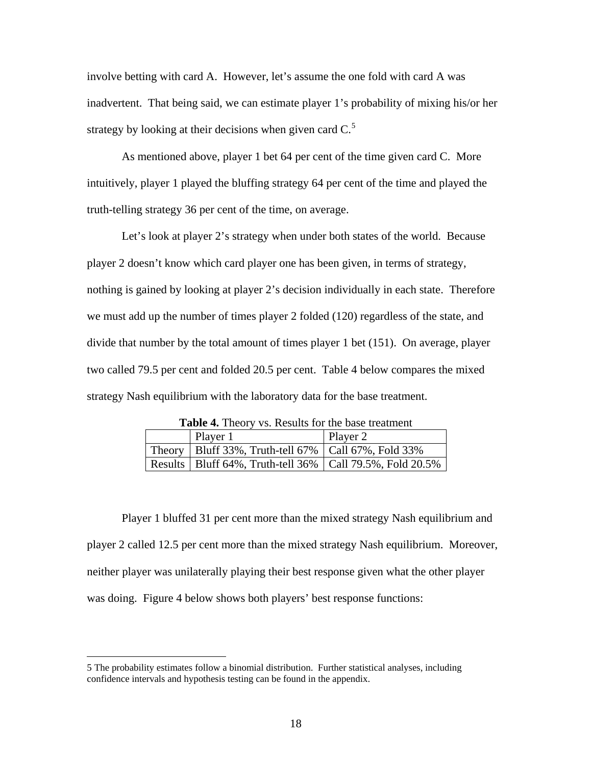involve betting with card A. However, let's assume the one fold with card A was inadvertent. That being said, we can estimate player 1's probability of mixing his/or her strategy by looking at their decisions when given card  $C<sup>5</sup>$  $C<sup>5</sup>$  $C<sup>5</sup>$ 

As mentioned above, player 1 bet 64 per cent of the time given card C. More intuitively, player 1 played the bluffing strategy 64 per cent of the time and played the truth-telling strategy 36 per cent of the time, on average.

Let's look at player 2's strategy when under both states of the world. Because player 2 doesn't know which card player one has been given, in terms of strategy, nothing is gained by looking at player 2's decision individually in each state. Therefore we must add up the number of times player 2 folded (120) regardless of the state, and divide that number by the total amount of times player 1 bet (151). On average, player two called 79.5 per cent and folded 20.5 per cent. Table 4 below compares the mixed strategy Nash equilibrium with the laboratory data for the base treatment.

| <b>Table 4.</b> Theory vs. Results for the base treatment    |          |  |  |
|--------------------------------------------------------------|----------|--|--|
| Player 1                                                     | Player 2 |  |  |
| Theory   Bluff 33%, Truth-tell 67%   Call 67%, Fold 33%      |          |  |  |
| Results   Bluff 64%, Truth-tell 36%   Call 79.5%, Fold 20.5% |          |  |  |

**Table 4.** Theory vs. Results for the base treatment

Player 1 bluffed 31 per cent more than the mixed strategy Nash equilibrium and player 2 called 12.5 per cent more than the mixed strategy Nash equilibrium. Moreover, neither player was unilaterally playing their best response given what the other player was doing. Figure 4 below shows both players' best response functions:

 $\overline{a}$ 

<span id="page-17-0"></span><sup>5</sup> The probability estimates follow a binomial distribution. Further statistical analyses, including confidence intervals and hypothesis testing can be found in the appendix.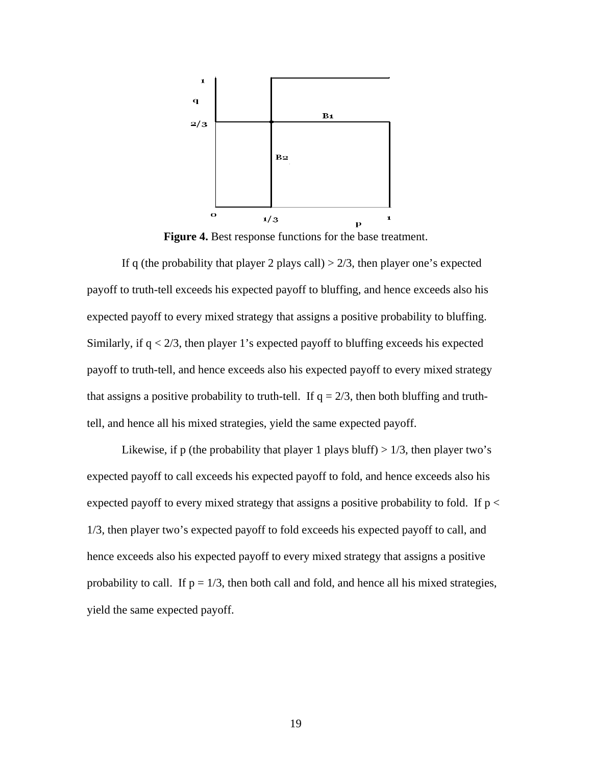

**Figure 4.** Best response functions for the base treatment.

If q (the probability that player 2 plays call)  $> 2/3$ , then player one's expected payoff to truth-tell exceeds his expected payoff to bluffing, and hence exceeds also his expected payoff to every mixed strategy that assigns a positive probability to bluffing. Similarly, if  $q < 2/3$ , then player 1's expected payoff to bluffing exceeds his expected payoff to truth-tell, and hence exceeds also his expected payoff to every mixed strategy that assigns a positive probability to truth-tell. If  $q = 2/3$ , then both bluffing and truthtell, and hence all his mixed strategies, yield the same expected payoff.

Likewise, if p (the probability that player 1 plays bluff)  $> 1/3$ , then player two's expected payoff to call exceeds his expected payoff to fold, and hence exceeds also his expected payoff to every mixed strategy that assigns a positive probability to fold. If  $p <$ 1/3, then player two's expected payoff to fold exceeds his expected payoff to call, and hence exceeds also his expected payoff to every mixed strategy that assigns a positive probability to call. If  $p = 1/3$ , then both call and fold, and hence all his mixed strategies, yield the same expected payoff.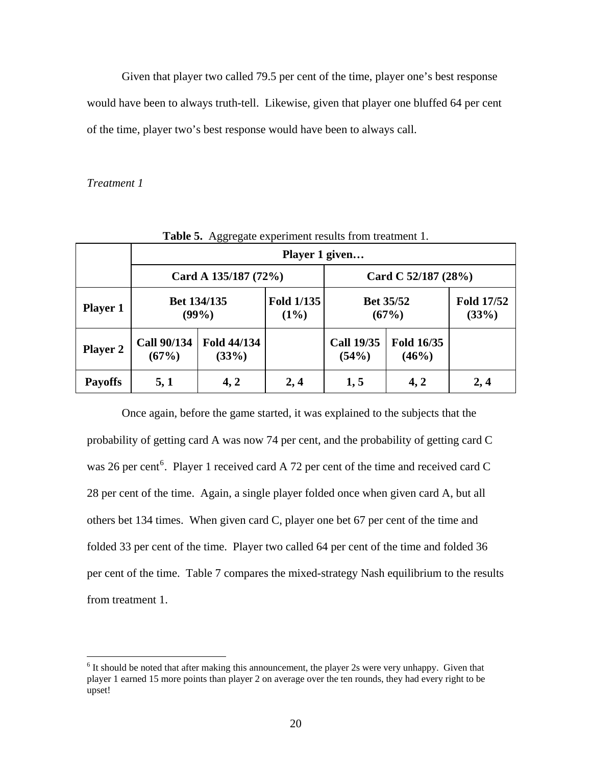Given that player two called 79.5 per cent of the time, player one's best response would have been to always truth-tell. Likewise, given that player one bluffed 64 per cent of the time, player two's best response would have been to always call.

#### *Treatment 1*

1

|                 | <b>Table 5.</b> Aggregate experiment results from treatment 1. |                         |                              |                            |                           |                            |
|-----------------|----------------------------------------------------------------|-------------------------|------------------------------|----------------------------|---------------------------|----------------------------|
|                 | Player 1 given                                                 |                         |                              |                            |                           |                            |
|                 | Card A 135/187 (72%)                                           |                         |                              |                            | Card C $52/187(28%)$      |                            |
| <b>Player 1</b> |                                                                | Bet 134/135<br>$(99\%)$ | <b>Fold 1/135</b><br>$(1\%)$ |                            | <b>Bet 35/52</b><br>(67%) | <b>Fold 17/52</b><br>(33%) |
| <b>Player 2</b> | <b>Call 90/134</b><br>(67%)                                    | Fold 44/134<br>(33%)    |                              | <b>Call 19/35</b><br>(54%) | Fold 16/35<br>(46%)       |                            |
| <b>Payoffs</b>  | 5,1                                                            | 4, 2                    | 2,4                          | 1, 5                       | 4, 2                      | 2,4                        |

**Table 5.** Aggregate experiment results from treatment 1.

Once again, before the game started, it was explained to the subjects that the probability of getting card A was now 74 per cent, and the probability of getting card C was 2[6](#page-19-0) per cent<sup>6</sup>. Player 1 received card A 72 per cent of the time and received card C 28 per cent of the time. Again, a single player folded once when given card A, but all others bet 134 times. When given card C, player one bet 67 per cent of the time and folded 33 per cent of the time. Player two called 64 per cent of the time and folded 36 per cent of the time. Table 7 compares the mixed-strategy Nash equilibrium to the results from treatment 1.

<span id="page-19-0"></span> $6$  It should be noted that after making this announcement, the player 2s were very unhappy. Given that player 1 earned 15 more points than player 2 on average over the ten rounds, they had every right to be upset!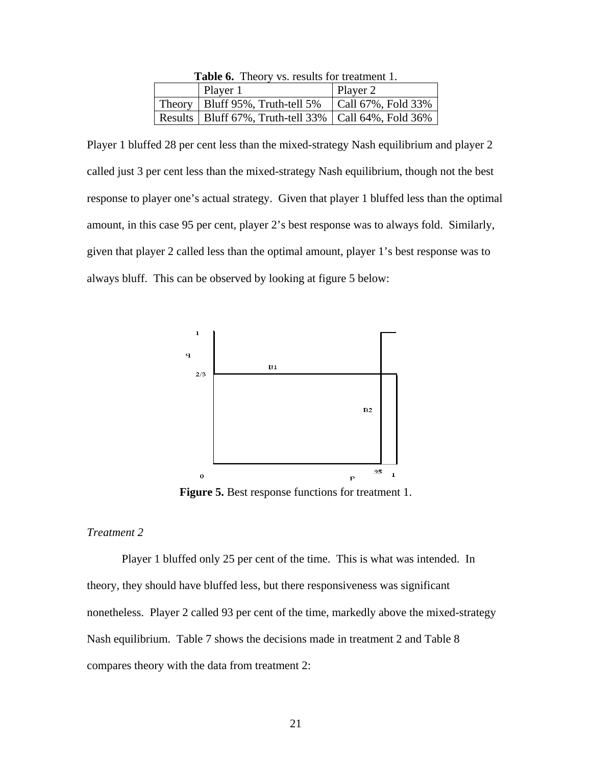|                                                                        | <b>Table 6.</b> Theory vs. results for treatment 1. |                            |  |  |  |
|------------------------------------------------------------------------|-----------------------------------------------------|----------------------------|--|--|--|
|                                                                        | Player 1                                            | Player 2                   |  |  |  |
|                                                                        | Theory   Bluff $95\%$ , Truth-tell $5\%$            | $\vert$ Call 67%, Fold 33% |  |  |  |
| Results   Bluff $67\%$ , Truth-tell $33\%$   Call $64\%$ , Fold $36\%$ |                                                     |                            |  |  |  |

**Table 6.** Theory vs. results for treatment 1.

Player 1 bluffed 28 per cent less than the mixed-strategy Nash equilibrium and player 2 called just 3 per cent less than the mixed-strategy Nash equilibrium, though not the best response to player one's actual strategy. Given that player 1 bluffed less than the optimal amount, in this case 95 per cent, player 2's best response was to always fold. Similarly, given that player 2 called less than the optimal amount, player 1's best response was to always bluff. This can be observed by looking at figure 5 below:



**Figure 5.** Best response functions for treatment 1.

#### *Treatment 2*

Player 1 bluffed only 25 per cent of the time. This is what was intended. In theory, they should have bluffed less, but there responsiveness was significant nonetheless. Player 2 called 93 per cent of the time, markedly above the mixed-strategy Nash equilibrium. Table 7 shows the decisions made in treatment 2 and Table 8 compares theory with the data from treatment 2: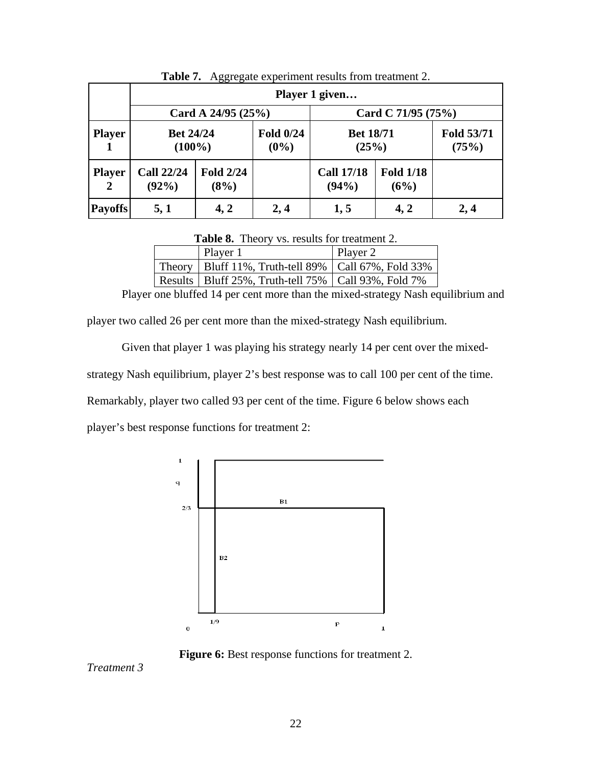|                               |                               |                          |                      | Player 1 given             |                          |                     |
|-------------------------------|-------------------------------|--------------------------|----------------------|----------------------------|--------------------------|---------------------|
|                               |                               | Card A $24/95(25%)$      |                      |                            | Card C $71/95(75%)$      |                     |
| <b>Player</b>                 | <b>Bet 24/24</b><br>$(100\%)$ |                          | Fold 0/24<br>$(0\%)$ | <b>Bet 18/71</b><br>(25%)  |                          | Fold 53/71<br>(75%) |
| <b>Player</b><br><sup>2</sup> | <b>Call 22/24</b><br>$(92\%)$ | <b>Fold 2/24</b><br>(8%) |                      | <b>Call 17/18</b><br>(94%) | <b>Fold 1/18</b><br>(6%) |                     |
| <b>Payoffs</b>                | 5, 1                          | 4, 2                     | 2,4                  | 1, 5                       | 4, 2                     | 2,4                 |

**Table 7.** Aggregate experiment results from treatment 2.

**Table 8.** Theory vs. results for treatment 2.

| Player 1                                                      | Player 2 |
|---------------------------------------------------------------|----------|
| Theory   Bluff 11%, Truth-tell 89%   Call 67%, Fold 33%       |          |
| Results   Bluff 25%, Truth-tell $75\%$   Call 93%, Fold $7\%$ |          |

Player one bluffed 14 per cent more than the mixed-strategy Nash equilibrium and

player two called 26 per cent more than the mixed-strategy Nash equilibrium.

Given that player 1 was playing his strategy nearly 14 per cent over the mixed-

strategy Nash equilibrium, player 2's best response was to call 100 per cent of the time.

Remarkably, player two called 93 per cent of the time. Figure 6 below shows each

player's best response functions for treatment 2:



**Figure 6:** Best response functions for treatment 2.

*Treatment 3*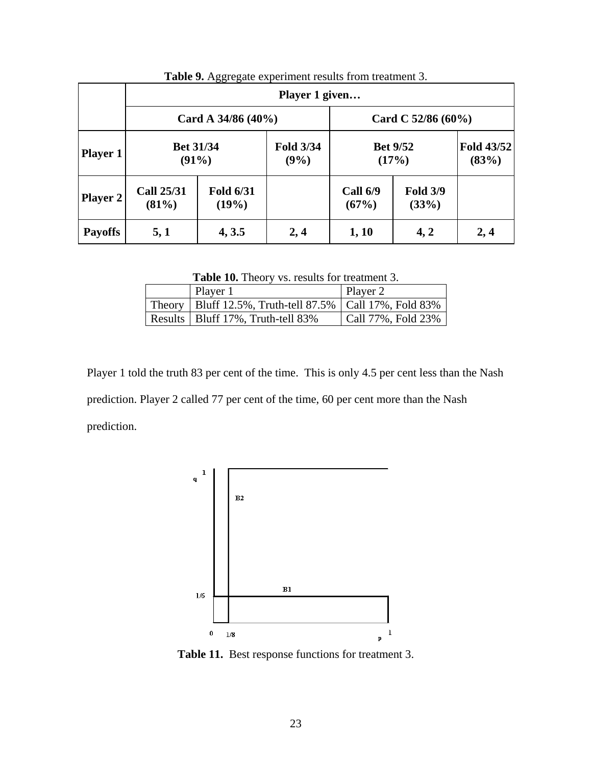|                 |                               |                           | Player 1 given           |                          |                          |                     |
|-----------------|-------------------------------|---------------------------|--------------------------|--------------------------|--------------------------|---------------------|
|                 |                               | Card A $34/86(40\%)$      |                          |                          | Card C $52/86(60\%)$     |                     |
| <b>Player 1</b> | <b>Bet 31/34</b><br>(91%)     |                           | <b>Fold 3/34</b><br>(9%) |                          | <b>Bet 9/52</b><br>(17%) | Fold 43/52<br>(83%) |
| <b>Player 2</b> | <b>Call 25/31</b><br>$(81\%)$ | <b>Fold 6/31</b><br>(19%) |                          | <b>Call 6/9</b><br>(67%) | <b>Fold 3/9</b><br>(33%) |                     |
| <b>Payoffs</b>  | 5,1                           | 4, 3.5                    | 2,4                      | 1, 10                    | 4, 2                     | 2,4                 |

**Table 9.** Aggregate experiment results from treatment 3.

**Table 10.** Theory vs. results for treatment 3.

| Player 1                                                    | Player 2           |
|-------------------------------------------------------------|--------------------|
| Theory   Bluff 12.5%, Truth-tell 87.5%   Call 17%, Fold 83% |                    |
| Results   Bluff 17%, Truth-tell 83%                         | Call 77%, Fold 23% |

Player 1 told the truth 83 per cent of the time. This is only 4.5 per cent less than the Nash prediction. Player 2 called 77 per cent of the time, 60 per cent more than the Nash prediction.



**Table 11.** Best response functions for treatment 3.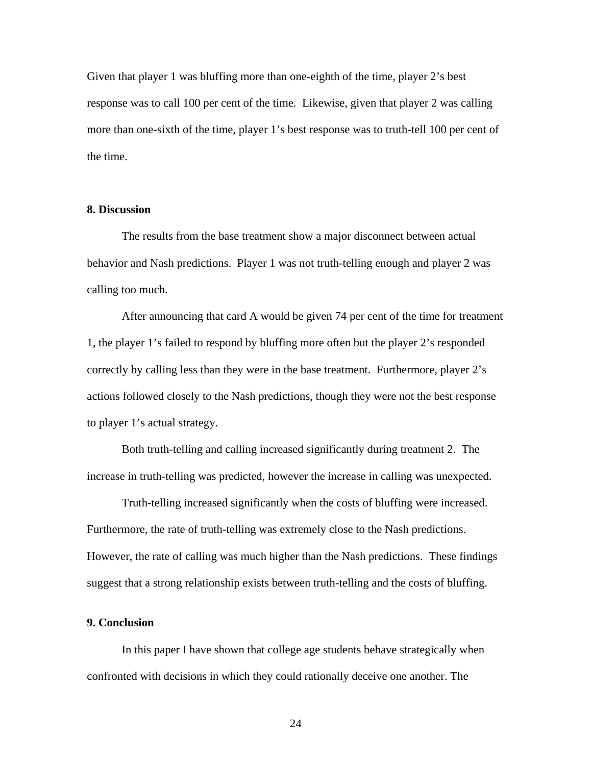Given that player 1 was bluffing more than one-eighth of the time, player 2's best response was to call 100 per cent of the time. Likewise, given that player 2 was calling more than one-sixth of the time, player 1's best response was to truth-tell 100 per cent of the time.

#### **8. Discussion**

The results from the base treatment show a major disconnect between actual behavior and Nash predictions. Player 1 was not truth-telling enough and player 2 was calling too much.

 After announcing that card A would be given 74 per cent of the time for treatment 1, the player 1's failed to respond by bluffing more often but the player 2's responded correctly by calling less than they were in the base treatment. Furthermore, player 2's actions followed closely to the Nash predictions, though they were not the best response to player 1's actual strategy.

 Both truth-telling and calling increased significantly during treatment 2. The increase in truth-telling was predicted, however the increase in calling was unexpected.

 Truth-telling increased significantly when the costs of bluffing were increased. Furthermore, the rate of truth-telling was extremely close to the Nash predictions. However, the rate of calling was much higher than the Nash predictions. These findings suggest that a strong relationship exists between truth-telling and the costs of bluffing.

#### **9. Conclusion**

 In this paper I have shown that college age students behave strategically when confronted with decisions in which they could rationally deceive one another. The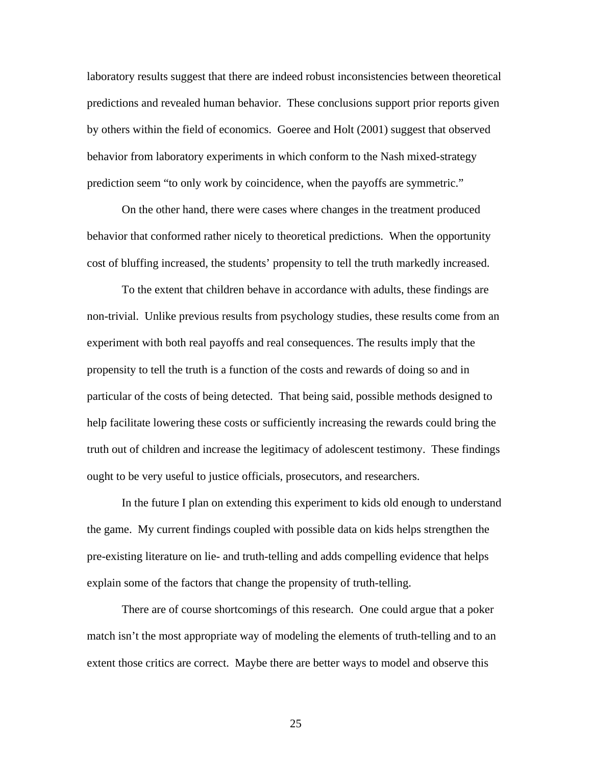laboratory results suggest that there are indeed robust inconsistencies between theoretical predictions and revealed human behavior. These conclusions support prior reports given by others within the field of economics. Goeree and Holt (2001) suggest that observed behavior from laboratory experiments in which conform to the Nash mixed-strategy prediction seem "to only work by coincidence, when the payoffs are symmetric."

On the other hand, there were cases where changes in the treatment produced behavior that conformed rather nicely to theoretical predictions. When the opportunity cost of bluffing increased, the students' propensity to tell the truth markedly increased.

To the extent that children behave in accordance with adults, these findings are non-trivial. Unlike previous results from psychology studies, these results come from an experiment with both real payoffs and real consequences. The results imply that the propensity to tell the truth is a function of the costs and rewards of doing so and in particular of the costs of being detected. That being said, possible methods designed to help facilitate lowering these costs or sufficiently increasing the rewards could bring the truth out of children and increase the legitimacy of adolescent testimony. These findings ought to be very useful to justice officials, prosecutors, and researchers.

In the future I plan on extending this experiment to kids old enough to understand the game. My current findings coupled with possible data on kids helps strengthen the pre-existing literature on lie- and truth-telling and adds compelling evidence that helps explain some of the factors that change the propensity of truth-telling.

There are of course shortcomings of this research. One could argue that a poker match isn't the most appropriate way of modeling the elements of truth-telling and to an extent those critics are correct. Maybe there are better ways to model and observe this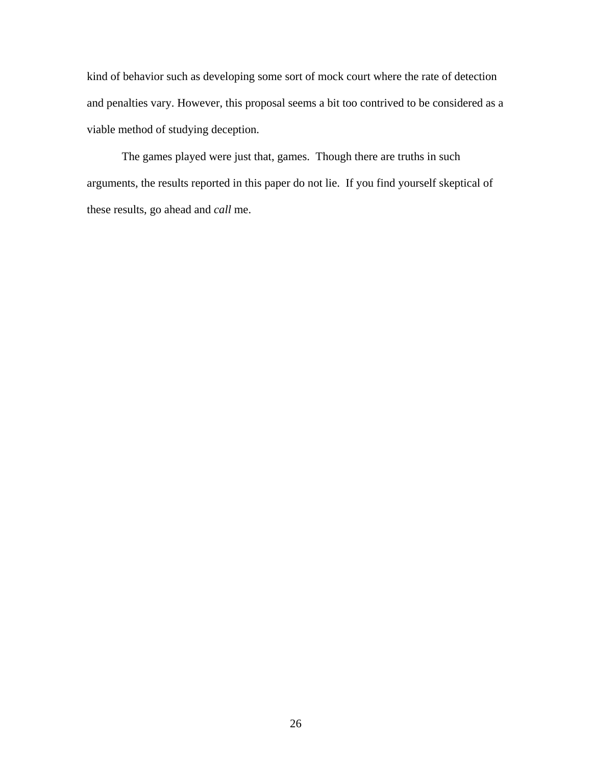kind of behavior such as developing some sort of mock court where the rate of detection and penalties vary. However, this proposal seems a bit too contrived to be considered as a viable method of studying deception.

The games played were just that, games. Though there are truths in such arguments, the results reported in this paper do not lie. If you find yourself skeptical of these results, go ahead and *call* me.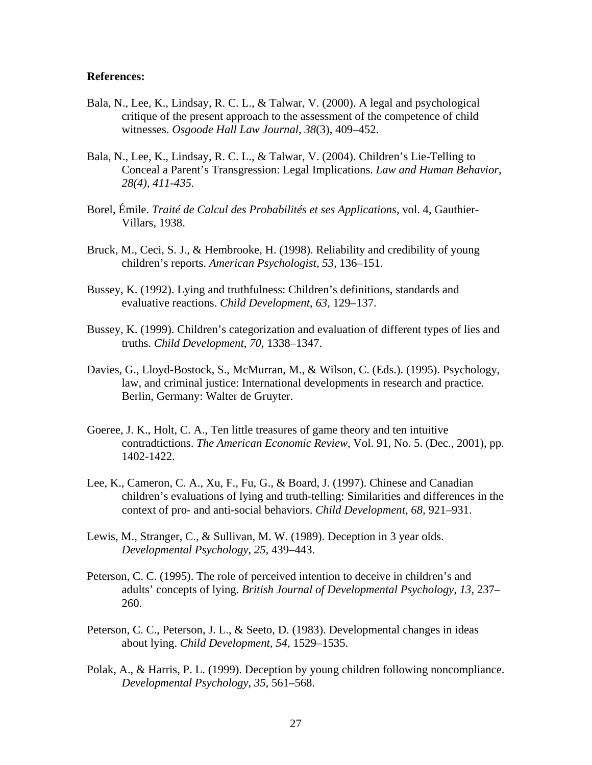#### **References:**

- Bala, N., Lee, K., Lindsay, R. C. L., & Talwar, V. (2000). A legal and psychological critique of the present approach to the assessment of the competence of child witnesses. *Osgoode Hall Law Journal*, *38*(3), 409–452.
- Bala, N., Lee, K., Lindsay, R. C. L., & Talwar, V. (2004). Children's Lie-Telling to Conceal a Parent's Transgression: Legal Implications. *Law and Human Behavior, 28(4), 411-435.*
- Borel, Émile. *Traité de Calcul des Probabilités et ses Applications*, vol. 4, Gauthier-Villars, 1938.
- Bruck, M., Ceci, S. J., & Hembrooke, H. (1998). Reliability and credibility of young children's reports. *American Psychologist*, *53,* 136–151.
- Bussey, K. (1992). Lying and truthfulness: Children's definitions, standards and evaluative reactions. *Child Development*, *63,* 129–137.
- Bussey, K. (1999). Children's categorization and evaluation of different types of lies and truths. *Child Development*, *70,* 1338–1347.
- Davies, G., Lloyd-Bostock, S., McMurran, M., & Wilson, C. (Eds.). (1995). Psychology, law, and criminal justice: International developments in research and practice. Berlin, Germany: Walter de Gruyter.
- Goeree, J. K., Holt, C. A., Ten little treasures of game theory and ten intuitive contradtictions. *The American Economic Review*, Vol. 91, No. 5. (Dec., 2001), pp. 1402-1422.
- Lee, K., Cameron, C. A., Xu, F., Fu, G., & Board, J. (1997). Chinese and Canadian children's evaluations of lying and truth-telling: Similarities and differences in the context of pro- and anti-social behaviors. *Child Development*, *68,* 921–931.
- Lewis, M., Stranger, C., & Sullivan, M. W. (1989). Deception in 3 year olds. *Developmental Psychology*, *25,* 439–443.
- Peterson, C. C. (1995). The role of perceived intention to deceive in children's and adults' concepts of lying. *British Journal of Developmental Psychology*, *13,* 237– 260.
- Peterson, C. C., Peterson, J. L., & Seeto, D. (1983). Developmental changes in ideas about lying. *Child Development*, *54,* 1529–1535.
- Polak, A., & Harris, P. L. (1999). Deception by young children following noncompliance. *Developmental Psychology*, *35,* 561–568.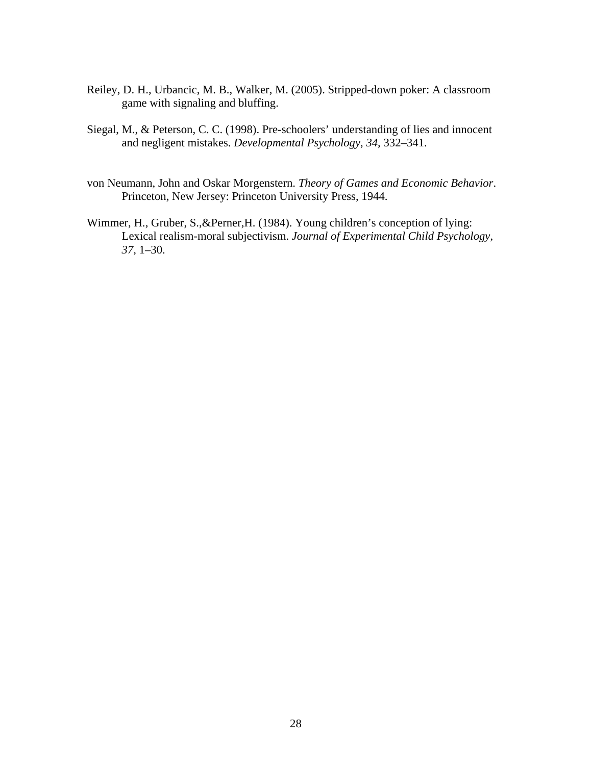- Reiley, D. H., Urbancic, M. B., Walker, M. (2005). Stripped-down poker: A classroom game with signaling and bluffing.
- Siegal, M., & Peterson, C. C. (1998). Pre-schoolers' understanding of lies and innocent and negligent mistakes. *Developmental Psychology*, *34,* 332–341.
- von Neumann, John and Oskar Morgenstern. *Theory of Games and Economic Behavior*. Princeton, New Jersey: Princeton University Press, 1944.
- Wimmer, H., Gruber, S.,&Perner,H. (1984). Young children's conception of lying: Lexical realism-moral subjectivism. *Journal of Experimental Child Psychology*, *37,* 1–30.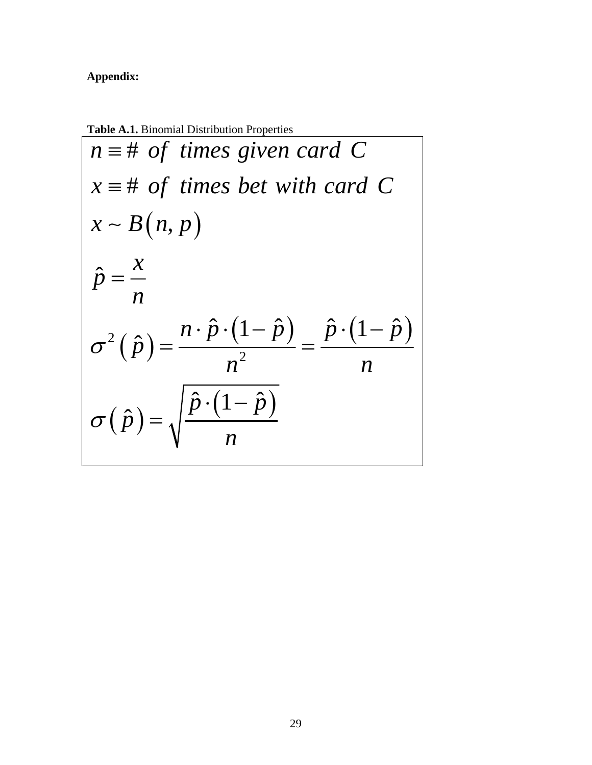### **Appendix:**

**Table A.1.** Binomial Distribution Properties

$$
n \equiv \# \text{ of times given card } C
$$
  
\n
$$
x \equiv \# \text{ of times bet with card } C
$$
  
\n
$$
x \sim B(n, p)
$$
  
\n
$$
\hat{p} = \frac{x}{n}
$$
  
\n
$$
\sigma^{2}(\hat{p}) = \frac{n \cdot \hat{p} \cdot (1 - \hat{p})}{n^{2}} = \frac{\hat{p} \cdot (1 - \hat{p})}{n}
$$
  
\n
$$
\sigma(\hat{p}) = \sqrt{\frac{\hat{p} \cdot (1 - \hat{p})}{n}}
$$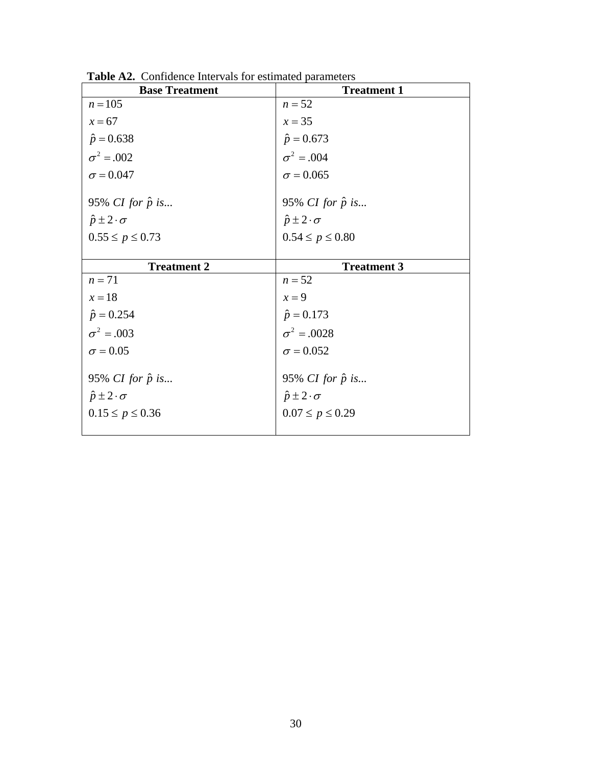| <b>Base Treatment</b>                                                                   | <b>Treatment 1</b>                                                                      |
|-----------------------------------------------------------------------------------------|-----------------------------------------------------------------------------------------|
| $n = 105$                                                                               | $n = 52$                                                                                |
| $x=67$                                                                                  | $x = 35$                                                                                |
| $\hat{p} = 0.638$                                                                       | $\hat{p} = 0.673$                                                                       |
| $\sigma^2 = .002$                                                                       | $\sigma^2 = .004$                                                                       |
| $\sigma$ = 0.047                                                                        | $\sigma = 0.065$                                                                        |
| 95% CI for $\hat{p}$ is<br>$\hat{p} \pm 2 \cdot \sigma$                                 | 95% <i>CI</i> for $\hat{p}$ is<br>$\hat{p} \pm 2 \cdot \sigma$                          |
| $0.55 \le p \le 0.73$                                                                   | $0.54 \le p \le 0.80$                                                                   |
| <b>Treatment 2</b>                                                                      | <b>Treatment 3</b>                                                                      |
| $n = 71$                                                                                | $n = 52$                                                                                |
| $x=18$                                                                                  | $x=9$                                                                                   |
| $\hat{p} = 0.254$                                                                       | $\hat{p} = 0.173$                                                                       |
| $\sigma^2 = .003$                                                                       | $\sigma^2 = .0028$                                                                      |
| $\sigma = 0.05$                                                                         | $\sigma = 0.052$                                                                        |
| 95% <i>CI</i> for $\hat{p}$ is<br>$\hat{p} \pm 2 \cdot \sigma$<br>$0.15 \le p \le 0.36$ | 95% <i>CI</i> for $\hat{p}$ is<br>$\hat{p} \pm 2 \cdot \sigma$<br>$0.07 \le p \le 0.29$ |

**Table A2.** Confidence Intervals for estimated parameters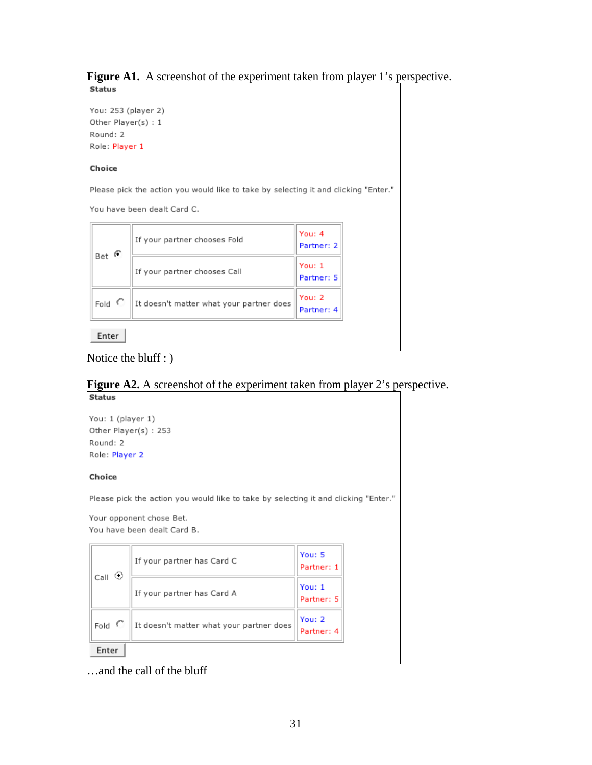### Figure A1. A screenshot of the experiment taken from player 1's perspective.

**Status** 

You: 253 (player 2) Other Player(s): 1 Round: 2 Role: Player 1

#### Choice

Please pick the action you would like to take by selecting it and clicking "Enter."

You have been dealt Card C.

| $\langle \cdot \rangle$ | If your partner chooses Fold             | You: 4<br>Partner: 2 |
|-------------------------|------------------------------------------|----------------------|
| Bet                     | If your partner chooses Call             | You: 1<br>Partner: 5 |
| Fold $\degree$          | It doesn't matter what your partner does | You: 2<br>Partner: 4 |
| Enter                   |                                          |                      |



### **Figure A2.** A screenshot of the experiment taken from player 2's perspective.



…and the call of the bluff